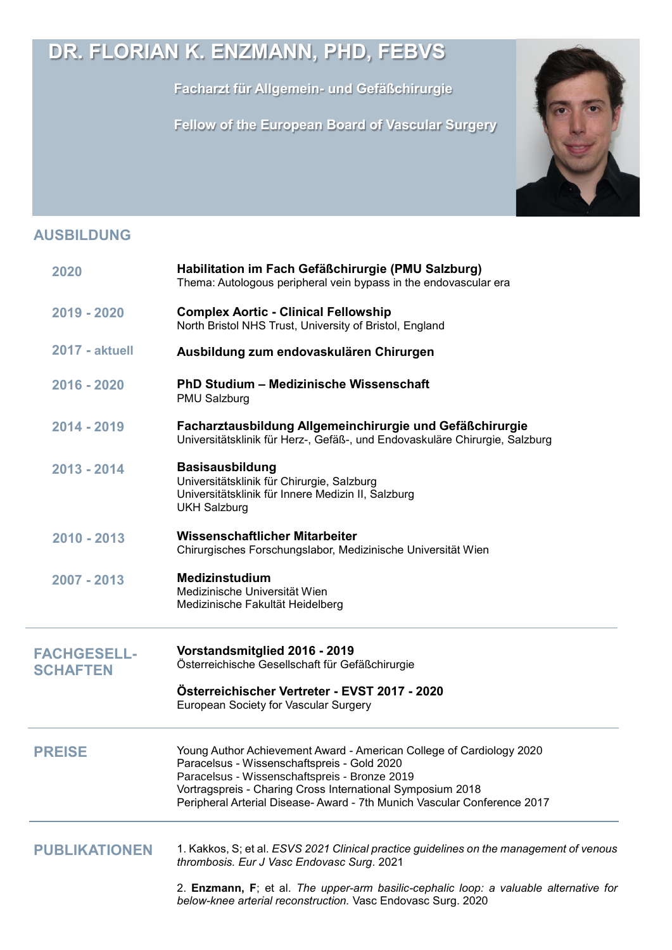## **DR. FLORIAN K. ENZMANN, PHD, FEBVS**

**Facharzt für Allgemein- und Gefäßchirurgie**

 **Fellow of the European Board of Vascular Surgery**



## **AUSBILDUNG**

| 2020                                  | Habilitation im Fach Gefäßchirurgie (PMU Salzburg)<br>Thema: Autologous peripheral vein bypass in the endovascular era                                                                                                                                                                                        |
|---------------------------------------|---------------------------------------------------------------------------------------------------------------------------------------------------------------------------------------------------------------------------------------------------------------------------------------------------------------|
| 2019 - 2020                           | <b>Complex Aortic - Clinical Fellowship</b><br>North Bristol NHS Trust, University of Bristol, England                                                                                                                                                                                                        |
| <b>2017 - aktuell</b>                 | Ausbildung zum endovaskulären Chirurgen                                                                                                                                                                                                                                                                       |
| 2016 - 2020                           | PhD Studium - Medizinische Wissenschaft<br>PMU Salzburg                                                                                                                                                                                                                                                       |
| 2014 - 2019                           | Facharztausbildung Allgemeinchirurgie und Gefäßchirurgie<br>Universitätsklinik für Herz-, Gefäß-, und Endovaskuläre Chirurgie, Salzburg                                                                                                                                                                       |
| 2013 - 2014                           | <b>Basisausbildung</b><br>Universitätsklinik für Chirurgie, Salzburg<br>Universitätsklinik für Innere Medizin II, Salzburg<br><b>UKH Salzburg</b>                                                                                                                                                             |
| $2010 - 2013$                         | Wissenschaftlicher Mitarbeiter<br>Chirurgisches Forschungslabor, Medizinische Universität Wien                                                                                                                                                                                                                |
| 2007 - 2013                           | <b>Medizinstudium</b><br>Medizinische Universität Wien<br>Medizinische Fakultät Heidelberg                                                                                                                                                                                                                    |
| <b>FACHGESELL-</b><br><b>SCHAFTEN</b> | Vorstandsmitglied 2016 - 2019<br>Österreichische Gesellschaft für Gefäßchirurgie                                                                                                                                                                                                                              |
|                                       | Österreichischer Vertreter - EVST 2017 - 2020<br>European Society for Vascular Surgery                                                                                                                                                                                                                        |
| <b>PREISE</b>                         | Young Author Achievement Award - American College of Cardiology 2020<br>Paracelsus - Wissenschaftspreis - Gold 2020<br>Paracelsus - Wissenschaftspreis - Bronze 2019<br>Vortragspreis - Charing Cross International Symposium 2018<br>Peripheral Arterial Disease-Award - 7th Munich Vascular Conference 2017 |
| <b>PUBLIKATIONEN</b>                  | 1. Kakkos, S; et al. ESVS 2021 Clinical practice guidelines on the management of venous<br>thrombosis. Eur J Vasc Endovasc Surg. 2021                                                                                                                                                                         |
|                                       | 2. Enzmann, F; et al. The upper-arm basilic-cephalic loop: a valuable alternative for<br>below-knee arterial reconstruction. Vasc Endovasc Surg. 2020                                                                                                                                                         |